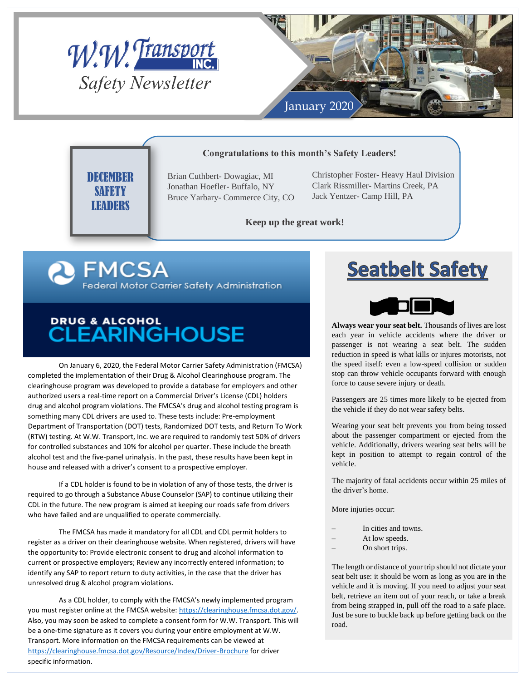



### **Congratulations to this month's Safety Leaders!**

**DECEMBER SAFETY LEADERS** 

Brian Cuthbert- Dowagiac, MI Jonathan Hoefler- Buffalo, NY Bruce Yarbary- Commerce City, CO Christopher Foster- Heavy Haul Division Clark Rissmiller- Martins Creek, PA Jack Yentzer- Camp Hill, PA

# **Keep up the great work!**

**R** FMCSA Federal Motor Carrier Safety Administration

# DRUG & ALCOHOL<br>CLEARINGHOUSE

On January 6, 2020, the Federal Motor Carrier Safety Administration (FMCSA) completed the implementation of their Drug & Alcohol Clearinghouse program. The clearinghouse program was developed to provide a database for employers and other authorized users a real-time report on a Commercial Driver's License (CDL) holders drug and alcohol program violations. The FMCSA's drug and alcohol testing program is something many CDL drivers are used to. These tests include: Pre-employment Department of Transportation (DOT) tests, Randomized DOT tests, and Return To Work (RTW) testing. At W.W. Transport, Inc. we are required to randomly test 50% of drivers for controlled substances and 10% for alcohol per quarter. These include the breath alcohol test and the five-panel urinalysis. In the past, these results have been kept in house and released with a driver's consent to a prospective employer.

If a CDL holder is found to be in violation of any of those tests, the driver is required to go through a Substance Abuse Counselor (SAP) to continue utilizing their CDL in the future. The new program is aimed at keeping our roads safe from drivers who have failed and are unqualified to operate commercially.

The FMCSA has made it mandatory for all CDL and CDL permit holders to register as a driver on their clearinghouse website. When registered, drivers will have the opportunity to: Provide electronic consent to drug and alcohol information to current or prospective employers; Review any incorrectly entered information; to identify any SAP to report return to duty activities, in the case that the driver has unresolved drug & alcohol program violations.

As a CDL holder, to comply with the FMCSA's newly implemented program you must register online at the FMCSA website[: https://clearinghouse.fmcsa.dot.gov/.](https://clearinghouse.fmcsa.dot.gov/)  Also, you may soon be asked to complete a consent form for W.W. Transport. This will be a one-time signature as it covers you during your entire employment at W.W. Transport. More information on the FMCSA requirements can be viewed at <https://clearinghouse.fmcsa.dot.gov/Resource/Index/Driver-Brochure> for driver specific information.

# **Seatbelt Safety**



**Always wear your seat belt.** Thousands of lives are lost each year in vehicle accidents where the driver or passenger is not wearing a seat belt. The sudden reduction in speed is what kills or injures motorists, not the speed itself: even a low-speed collision or sudden stop can throw vehicle occupants forward with enough force to cause severe injury or death.

Passengers are 25 times more likely to be ejected from the vehicle if they do not wear safety belts.

Wearing your seat belt prevents you from being tossed about the passenger compartment or ejected from the vehicle. Additionally, drivers wearing seat belts will be kept in position to attempt to regain control of the vehicle.

The majority of fatal accidents occur within 25 miles of the driver's home.

More injuries occur:

- In cities and towns.
- At low speeds.
- On short trips.

The length or distance of your trip should not dictate your seat belt use: it should be worn as long as you are in the vehicle and it is moving. If you need to adjust your seat belt, retrieve an item out of your reach, or take a break from being strapped in, pull off the road to a safe place. Just be sure to buckle back up before getting back on the road.